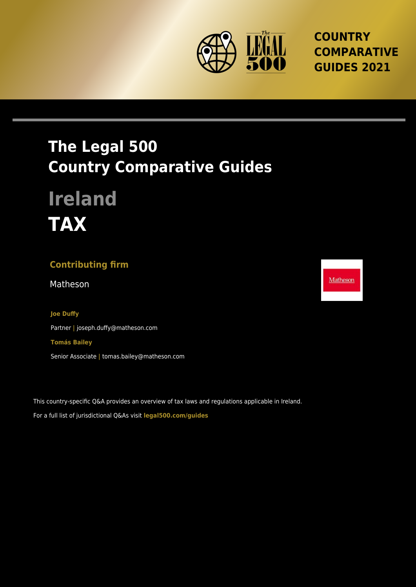

## **COUNTRY COMPARATIVE GUIDES 2021**

## **The Legal 500 Country Comparative Guides**

# **Ireland TAX**

### **Contributing firm**

Matheson Matheson and the state of the state of the Matheson and Matheson and Matheson and Matheson and Matheson and Matheson and Matheson and Matheson and Matheson and Matheson and Matheson and Matheson and Matheson and M

#### **Joe Duffy**

Partner **|** joseph.duffy@matheson.com **Tomás Bailey** Senior Associate **|** tomas.bailey@matheson.com

This country-specific Q&A provides an overview of tax laws and regulations applicable in Ireland. For a full list of jurisdictional Q&As visit **[legal500.com/guides](https://www.legal500.com/guides/)**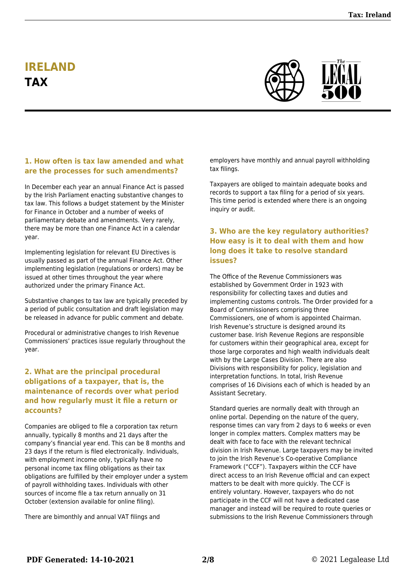## **IRELAND TAX**



#### **1. How often is tax law amended and what are the processes for such amendments?**

In December each year an annual Finance Act is passed by the Irish Parliament enacting substantive changes to tax law. This follows a budget statement by the Minister for Finance in October and a number of weeks of parliamentary debate and amendments. Very rarely, there may be more than one Finance Act in a calendar year.

Implementing legislation for relevant EU Directives is usually passed as part of the annual Finance Act. Other implementing legislation (regulations or orders) may be issued at other times throughout the year where authorized under the primary Finance Act.

Substantive changes to tax law are typically preceded by a period of public consultation and draft legislation may be released in advance for public comment and debate.

Procedural or administrative changes to Irish Revenue Commissioners' practices issue regularly throughout the year.

#### **2. What are the principal procedural obligations of a taxpayer, that is, the maintenance of records over what period and how regularly must it file a return or accounts?**

Companies are obliged to file a corporation tax return annually, typically 8 months and 21 days after the company's financial year end. This can be 8 months and 23 days if the return is filed electronically. Individuals, with employment income only, typically have no personal income tax filing obligations as their tax obligations are fulfilled by their employer under a system of payroll withholding taxes. Individuals with other sources of income file a tax return annually on 31 October (extension available for online filing).

There are bimonthly and annual VAT filings and

employers have monthly and annual payroll withholding tax filings.

Taxpayers are obliged to maintain adequate books and records to support a tax filing for a period of six years. This time period is extended where there is an ongoing inquiry or audit.

#### **3. Who are the key regulatory authorities? How easy is it to deal with them and how long does it take to resolve standard issues?**

The Office of the Revenue Commissioners was established by Government Order in 1923 with responsibility for collecting taxes and duties and implementing customs controls. The Order provided for a Board of Commissioners comprising three Commissioners, one of whom is appointed Chairman. Irish Revenue's structure is designed around its customer base. Irish Revenue Regions are responsible for customers within their geographical area, except for those large corporates and high wealth individuals dealt with by the Large Cases Division. There are also Divisions with responsibility for policy, legislation and interpretation functions. In total, Irish Revenue comprises of 16 Divisions each of which is headed by an Assistant Secretary.

Standard queries are normally dealt with through an online portal. Depending on the nature of the query, response times can vary from 2 days to 6 weeks or even longer in complex matters. Complex matters may be dealt with face to face with the relevant technical division in Irish Revenue. Large taxpayers may be invited to join the Irish Revenue's Co-operative Compliance Framework ("CCF"). Taxpayers within the CCF have direct access to an Irish Revenue official and can expect matters to be dealt with more quickly. The CCF is entirely voluntary. However, taxpayers who do not participate in the CCF will not have a dedicated case manager and instead will be required to route queries or submissions to the Irish Revenue Commissioners through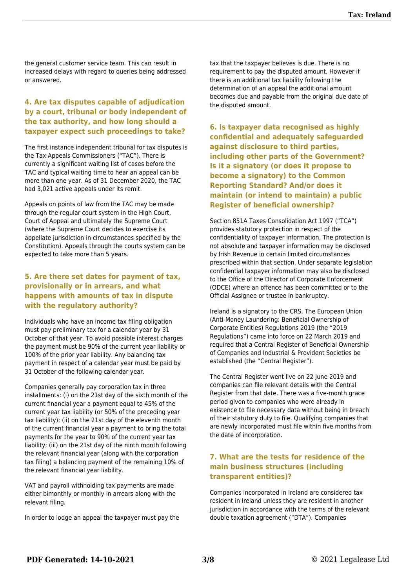the general customer service team. This can result in increased delays with regard to queries being addressed or answered.

#### **4. Are tax disputes capable of adjudication by a court, tribunal or body independent of the tax authority, and how long should a taxpayer expect such proceedings to take?**

The first instance independent tribunal for tax disputes is the Tax Appeals Commissioners ("TAC"). There is currently a significant waiting list of cases before the TAC and typical waiting time to hear an appeal can be more than one year. As of 31 December 2020, the TAC had 3,021 active appeals under its remit.

Appeals on points of law from the TAC may be made through the regular court system in the High Court, Court of Appeal and ultimately the Supreme Court (where the Supreme Court decides to exercise its appellate jurisdiction in circumstances specified by the Constitution). Appeals through the courts system can be expected to take more than 5 years.

#### **5. Are there set dates for payment of tax, provisionally or in arrears, and what happens with amounts of tax in dispute with the regulatory authority?**

Individuals who have an income tax filing obligation must pay preliminary tax for a calendar year by 31 October of that year. To avoid possible interest charges the payment must be 90% of the current year liability or 100% of the prior year liability. Any balancing tax payment in respect of a calendar year must be paid by 31 October of the following calendar year.

Companies generally pay corporation tax in three installments: (i) on the 21st day of the sixth month of the current financial year a payment equal to 45% of the current year tax liability (or 50% of the preceding year tax liability); (ii) on the 21st day of the eleventh month of the current financial year a payment to bring the total payments for the year to 90% of the current year tax liability; (iii) on the 21st day of the ninth month following the relevant financial year (along with the corporation tax filing) a balancing payment of the remaining 10% of the relevant financial year liability.

VAT and payroll withholding tax payments are made either bimonthly or monthly in arrears along with the relevant filing.

In order to lodge an appeal the taxpayer must pay the

tax that the taxpayer believes is due. There is no requirement to pay the disputed amount. However if there is an additional tax liability following the determination of an appeal the additional amount becomes due and payable from the original due date of the disputed amount.

**6. Is taxpayer data recognised as highly confidential and adequately safeguarded against disclosure to third parties, including other parts of the Government? Is it a signatory (or does it propose to become a signatory) to the Common Reporting Standard? And/or does it maintain (or intend to maintain) a public Register of beneficial ownership?**

Section 851A Taxes Consolidation Act 1997 ("TCA") provides statutory protection in respect of the confidentiality of taxpayer information. The protection is not absolute and taxpayer information may be disclosed by Irish Revenue in certain limited circumstances prescribed within that section. Under separate legislation confidential taxpayer information may also be disclosed to the Office of the Director of Corporate Enforcement (ODCE) where an offence has been committed or to the Official Assignee or trustee in bankruptcy.

Ireland is a signatory to the CRS. The European Union (Anti-Money Laundering: Beneficial Ownership of Corporate Entities) Regulations 2019 (the "2019 Regulations") came into force on 22 March 2019 and required that a Central Register of Beneficial Ownership of Companies and Industrial & Provident Societies be established (the "Central Register").

The Central Register went live on 22 June 2019 and companies can file relevant details with the Central Register from that date. There was a five-month grace period given to companies who were already in existence to file necessary data without being in breach of their statutory duty to file. Qualifying companies that are newly incorporated must file within five months from the date of incorporation.

#### **7. What are the tests for residence of the main business structures (including transparent entities)?**

Companies incorporated in Ireland are considered tax resident in Ireland unless they are resident in another jurisdiction in accordance with the terms of the relevant double taxation agreement ("DTA"). Companies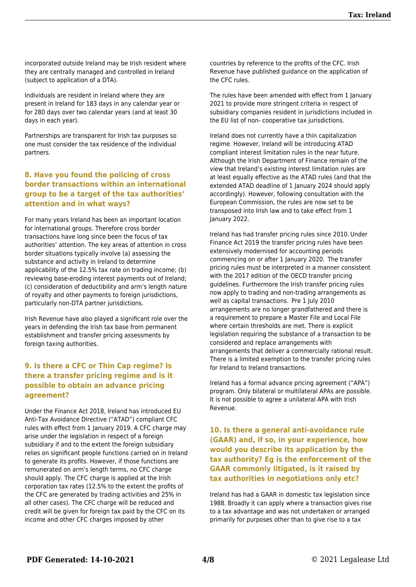incorporated outside Ireland may be Irish resident where they are centrally managed and controlled in Ireland (subject to application of a DTA).

Individuals are resident in Ireland where they are present in Ireland for 183 days in any calendar year or for 280 days over two calendar years (and at least 30 days in each year).

Partnerships are transparent for Irish tax purposes so one must consider the tax residence of the individual partners.

#### **8. Have you found the policing of cross border transactions within an international group to be a target of the tax authorities' attention and in what ways?**

For many years Ireland has been an important location for international groups. Therefore cross border transactions have long since been the focus of tax authorities' attention. The key areas of attention in cross border situations typically involve (a) assessing the substance and activity in Ireland to determine applicability of the 12.5% tax rate on trading income; (b) reviewing base-eroding interest payments out of Ireland; (c) consideration of deductibility and arm's length nature of royalty and other payments to foreign jurisdictions, particularly non-DTA partner jurisdictions.

Irish Revenue have also played a significant role over the years in defending the Irish tax base from permanent establishment and transfer pricing assessments by foreign taxing authorities.

#### **9. Is there a CFC or Thin Cap regime? Is there a transfer pricing regime and is it possible to obtain an advance pricing agreement?**

Under the Finance Act 2018, Ireland has introduced EU Anti-Tax Avoidance Directive ("ATAD") compliant CFC rules with effect from 1 January 2019. A CFC charge may arise under the legislation in respect of a foreign subsidiary if and to the extent the foreign subsidiary relies on significant people functions carried on in Ireland to generate its profits. However, if those functions are remunerated on arm's length terms, no CFC charge should apply. The CFC charge is applied at the Irish corporation tax rates (12.5% to the extent the profits of the CFC are generated by trading activities and 25% in all other cases). The CFC charge will be reduced and credit will be given for foreign tax paid by the CFC on its income and other CFC charges imposed by other

countries by reference to the profits of the CFC. Irish Revenue have published guidance on the application of the CFC rules.

The rules have been amended with effect from 1 January 2021 to provide more stringent criteria in respect of subsidiary companies resident in jurisdictions included in the EU list of non- cooperative tax jurisdictions.

Ireland does not currently have a thin capitalization regime. However, Ireland will be introducing ATAD compliant interest limitation rules in the near future. Although the Irish Department of Finance remain of the view that Ireland's existing interest limitation rules are at least equally effective as the ATAD rules (and that the extended ATAD deadline of 1 January 2024 should apply accordingly). However, following consultation with the European Commission, the rules are now set to be transposed into Irish law and to take effect from 1 January 2022.

Ireland has had transfer pricing rules since 2010. Under Finance Act 2019 the transfer pricing rules have been extensively modernised for accounting periods commencing on or after 1 January 2020.  The transfer pricing rules must be interpreted in a manner consistent with the 2017 edition of the OECD transfer pricing guidelines. Furthermore the Irish transfer pricing rules now apply to trading and non-trading arrangements as well as capital transactions.  Pre 1 July 2010 arrangements are no longer grandfathered and there is a requirement to prepare a Master File and Local File where certain thresholds are met. There is explicit legislation requiring the substance of a transaction to be considered and replace arrangements with arrangements that deliver a commercially rational result. There is a limited exemption to the transfer pricing rules for Ireland to Ireland transactions.

Ireland has a formal advance pricing agreement ("APA") program. Only bilateral or multilateral APAs are possible. It is not possible to agree a unilateral APA with Irish Revenue.

**10. Is there a general anti-avoidance rule (GAAR) and, if so, in your experience, how would you describe its application by the tax authority? Eg is the enforcement of the GAAR commonly litigated, is it raised by tax authorities in negotiations only etc?**

Ireland has had a GAAR in domestic tax legislation since 1988. Broadly it can apply where a transaction gives rise to a tax advantage and was not undertaken or arranged primarily for purposes other than to give rise to a tax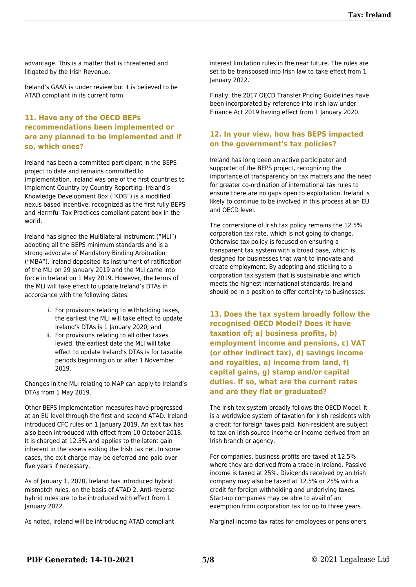advantage. This is a matter that is threatened and litigated by the Irish Revenue.

Ireland's GAAR is under review but it is believed to be ATAD compliant in its current form.

#### **11. Have any of the OECD BEPs recommendations been implemented or are any planned to be implemented and if so, which ones?**

Ireland has been a committed participant in the BEPS project to date and remains committed to implementation. Ireland was one of the first countries to implement Country by Country Reporting. Ireland's Knowledge Development Box ("KDB") is a modified nexus based incentive, recognized as the first fully BEPS and Harmful Tax Practices compliant patent box in the world.

Ireland has signed the Multilateral Instrument ("MLI") adopting all the BEPS minimum standards and is a strong advocate of Mandatory Binding Arbitration ("MBA"). Ireland deposited its instrument of ratification of the MLI on 29 January 2019 and the MLI came into force in Ireland on 1 May 2019. However, the terms of the MLI will take effect to update Ireland's DTAs in accordance with the following dates:

- i. For provisions relating to withholding taxes, the earliest the MLI will take effect to update Ireland's DTAs is 1 January 2020; and
- ii. For provisions relating to all other taxes levied, the earliest date the MLI will take effect to update Ireland's DTAs is for taxable periods beginning on or after 1 November 2019.

Changes in the MLI relating to MAP can apply to Ireland's DTAs from 1 May 2019.

Other BEPS implementation measures have progressed at an EU level through the first and second ATAD. Ireland introduced CFC rules on 1 January 2019. An exit tax has also been introduced with effect from 10 October 2018. It is charged at 12.5% and applies to the latent gain inherent in the assets exiting the Irish tax net. In some cases, the exit charge may be deferred and paid over five years if necessary.

As of January 1, 2020, Ireland has introduced hybrid mismatch rules, on the basis of ATAD 2. Anti-reversehybrid rules are to be introduced with effect from 1 January 2022.

As noted, Ireland will be introducing ATAD compliant

interest limitation rules in the near future. The rules are set to be transposed into Irish law to take effect from 1 January 2022.

Finally, the 2017 OECD Transfer Pricing Guidelines have been incorporated by reference into Irish law under Finance Act 2019 having effect from 1 January 2020.

#### **12. In your view, how has BEPS impacted on the government's tax policies?**

Ireland has long been an active participator and supporter of the BEPS project, recognizing the importance of transparency on tax matters and the need for greater co-ordination of international tax rules to ensure there are no gaps open to exploitation. Ireland is likely to continue to be involved in this process at an EU and OECD level.

The cornerstone of Irish tax policy remains the 12.5% corporation tax rate, which is not going to change. Otherwise tax policy is focused on ensuring a transparent tax system with a broad base, which is designed for businesses that want to innovate and create employment. By adopting and sticking to a corporation tax system that is sustainable and which meets the highest international standards, Ireland should be in a position to offer certainty to businesses.

**13. Does the tax system broadly follow the recognised OECD Model? Does it have taxation of; a) business profits, b) employment income and pensions, c) VAT (or other indirect tax), d) savings income and royalties, e) income from land, f) capital gains, g) stamp and/or capital duties. If so, what are the current rates and are they flat or graduated?**

The Irish tax system broadly follows the OECD Model. It is a worldwide system of taxation for Irish residents with a credit for foreign taxes paid. Non-resident are subject to tax on Irish source income or income derived from an Irish branch or agency.

For companies, business profits are taxed at 12.5% where they are derived from a trade in Ireland. Passive income is taxed at 25%. Dividends received by an Irish company may also be taxed at 12.5% or 25% with a credit for foreign withholding and underlying taxes. Start-up companies may be able to avail of an exemption from corporation tax for up to three years.

Marginal income tax rates for employees or pensioners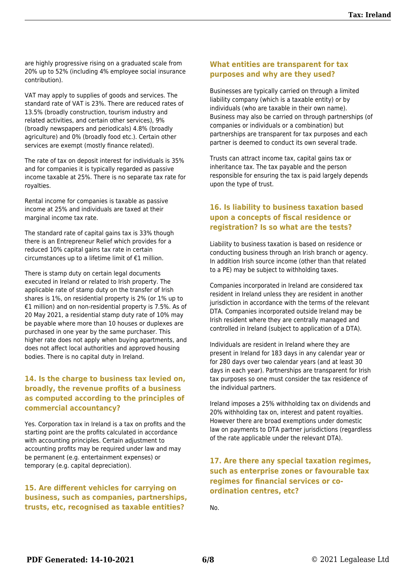are highly progressive rising on a graduated scale from 20% up to 52% (including 4% employee social insurance contribution).

VAT may apply to supplies of goods and services. The standard rate of VAT is 23%. There are reduced rates of 13.5% (broadly construction, tourism industry and related activities, and certain other services), 9% (broadly newspapers and periodicals) 4.8% (broadly agriculture) and 0% (broadly food etc.). Certain other services are exempt (mostly finance related).

The rate of tax on deposit interest for individuals is 35% and for companies it is typically regarded as passive income taxable at 25%. There is no separate tax rate for royalties.

Rental income for companies is taxable as passive income at 25% and individuals are taxed at their marginal income tax rate.

The standard rate of capital gains tax is 33% though there is an Entrepreneur Relief which provides for a reduced 10% capital gains tax rate in certain circumstances up to a lifetime limit of €1 million.

There is stamp duty on certain legal documents executed in Ireland or related to Irish property. The applicable rate of stamp duty on the transfer of Irish shares is 1%, on residential property is 2% (or 1% up to €1 million) and on non-residential property is 7.5%. As of 20 May 2021, a residential stamp duty rate of 10% may be payable where more than 10 houses or duplexes are purchased in one year by the same purchaser. This higher rate does not apply when buying apartments, and does not affect local authorities and approved housing bodies. There is no capital duty in Ireland.

#### **14. Is the charge to business tax levied on, broadly, the revenue profits of a business as computed according to the principles of commercial accountancy?**

Yes. Corporation tax in Ireland is a tax on profits and the starting point are the profits calculated in accordance with accounting principles. Certain adjustment to accounting profits may be required under law and may be permanent (e.g. entertainment expenses) or temporary (e.g. capital depreciation).

#### **15. Are different vehicles for carrying on business, such as companies, partnerships, trusts, etc, recognised as taxable entities?**

#### **What entities are transparent for tax purposes and why are they used?**

Businesses are typically carried on through a limited liability company (which is a taxable entity) or by individuals (who are taxable in their own name). Business may also be carried on through partnerships (of companies or individuals or a combination) but partnerships are transparent for tax purposes and each partner is deemed to conduct its own several trade.

Trusts can attract income tax, capital gains tax or inheritance tax. The tax payable and the person responsible for ensuring the tax is paid largely depends upon the type of trust.

#### **16. Is liability to business taxation based upon a concepts of fiscal residence or registration? Is so what are the tests?**

Liability to business taxation is based on residence or conducting business through an Irish branch or agency. In addition Irish source income (other than that related to a PE) may be subject to withholding taxes.

Companies incorporated in Ireland are considered tax resident in Ireland unless they are resident in another jurisdiction in accordance with the terms of the relevant DTA. Companies incorporated outside Ireland may be Irish resident where they are centrally managed and controlled in Ireland (subject to application of a DTA).

Individuals are resident in Ireland where they are present in Ireland for 183 days in any calendar year or for 280 days over two calendar years (and at least 30 days in each year). Partnerships are transparent for Irish tax purposes so one must consider the tax residence of the individual partners.

Ireland imposes a 25% withholding tax on dividends and 20% withholding tax on, interest and patent royalties. However there are broad exemptions under domestic law on payments to DTA partner jurisdictions (regardless of the rate applicable under the relevant DTA).

#### **17. Are there any special taxation regimes, such as enterprise zones or favourable tax regimes for financial services or coordination centres, etc?**

No.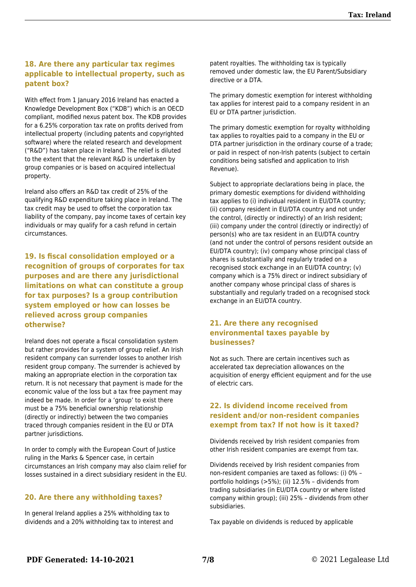#### **18. Are there any particular tax regimes applicable to intellectual property, such as patent box?**

With effect from 1 January 2016 Ireland has enacted a Knowledge Development Box ("KDB") which is an OECD compliant, modified nexus patent box. The KDB provides for a 6.25% corporation tax rate on profits derived from intellectual property (including patents and copyrighted software) where the related research and development ("R&D") has taken place in Ireland. The relief is diluted to the extent that the relevant R&D is undertaken by group companies or is based on acquired intellectual property.

Ireland also offers an R&D tax credit of 25% of the qualifying R&D expenditure taking place in Ireland. The tax credit may be used to offset the corporation tax liability of the company, pay income taxes of certain key individuals or may qualify for a cash refund in certain circumstances.

**19. Is fiscal consolidation employed or a recognition of groups of corporates for tax purposes and are there any jurisdictional limitations on what can constitute a group for tax purposes? Is a group contribution system employed or how can losses be relieved across group companies otherwise?**

Ireland does not operate a fiscal consolidation system but rather provides for a system of group relief. An Irish resident company can surrender losses to another Irish resident group company. The surrender is achieved by making an appropriate election in the corporation tax return. It is not necessary that payment is made for the economic value of the loss but a tax free payment may indeed be made. In order for a 'group' to exist there must be a 75% beneficial ownership relationship (directly or indirectly) between the two companies traced through companies resident in the EU or DTA partner jurisdictions.

In order to comply with the European Court of Justice ruling in the Marks & Spencer case, in certain circumstances an Irish company may also claim relief for losses sustained in a direct subsidiary resident in the EU.

#### **20. Are there any withholding taxes?**

In general Ireland applies a 25% withholding tax to dividends and a 20% withholding tax to interest and patent royalties. The withholding tax is typically removed under domestic law, the EU Parent/Subsidiary directive or a DTA.

The primary domestic exemption for interest withholding tax applies for interest paid to a company resident in an EU or DTA partner jurisdiction.

The primary domestic exemption for royalty withholding tax applies to royalties paid to a company in the EU or DTA partner jurisdiction in the ordinary course of a trade; or paid in respect of non-Irish patents (subject to certain conditions being satisfied and application to Irish Revenue).

Subject to appropriate declarations being in place, the primary domestic exemptions for dividend withholding tax applies to (i) individual resident in EU/DTA country; (ii) company resident in EU/DTA country and not under the control, (directly or indirectly) of an Irish resident; (iii) company under the control (directly or indirectly) of person(s) who are tax resident in an EU/DTA country (and not under the control of persons resident outside an EU/DTA country); (iv) company whose principal class of shares is substantially and regularly traded on a recognised stock exchange in an EU/DTA country; (v) company which is a 75% direct or indirect subsidiary of another company whose principal class of shares is substantially and regularly traded on a recognised stock exchange in an EU/DTA country.

#### **21. Are there any recognised environmental taxes payable by businesses?**

Not as such. There are certain incentives such as accelerated tax depreciation allowances on the acquisition of energy efficient equipment and for the use of electric cars.

#### **22. Is dividend income received from resident and/or non-resident companies exempt from tax? If not how is it taxed?**

Dividends received by Irish resident companies from other Irish resident companies are exempt from tax.

Dividends received by Irish resident companies from non-resident companies are taxed as follows: (i) 0% – portfolio holdings (>5%); (ii) 12.5% – dividends from trading subsidiaries (in EU/DTA country or where listed company within group); (iii) 25% – dividends from other subsidiaries.

Tax payable on dividends is reduced by applicable